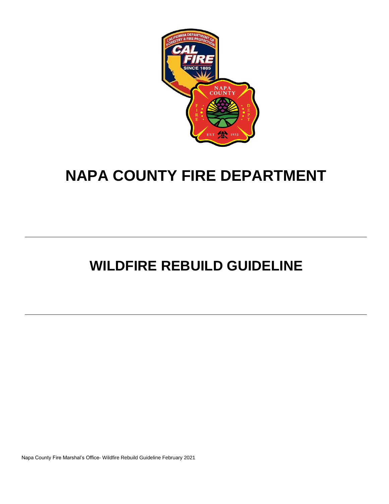

# **NAPA COUNTY FIRE DEPARTMENT**

# **WILDFIRE REBUILD GUIDELINE**

Napa County Fire Marshal's Office- Wildfire Rebuild Guideline February 2021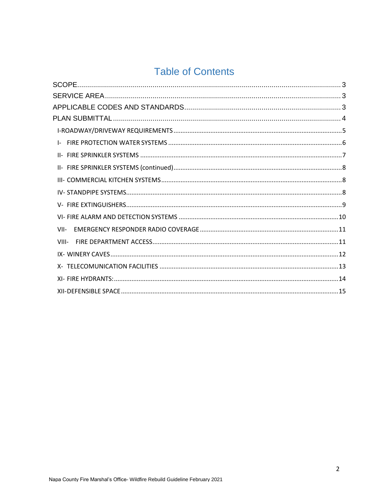# **Table of Contents**

| VII-  |
|-------|
| VIII- |
|       |
|       |
|       |
|       |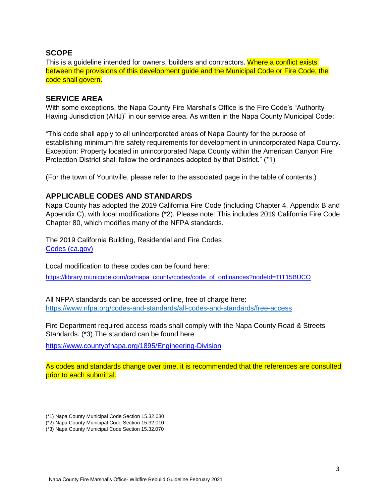# <span id="page-2-0"></span>**SCOPE**

This is a guideline intended for owners, builders and contractors. Where a conflict exists between the provisions of this development guide and the Municipal Code or Fire Code, the code shall govern.

#### <span id="page-2-1"></span>**SERVICE AREA**

With some exceptions, the Napa County Fire Marshal's Office is the Fire Code's "Authority Having Jurisdiction (AHJ)" in our service area. As written in the Napa County Municipal Code:

"This code shall apply to all unincorporated areas of Napa County for the purpose of establishing minimum fire safety requirements for development in unincorporated Napa County. Exception: Property located in unincorporated Napa County within the American Canyon Fire Protection District shall follow the ordinances adopted by that District." (\*1)

(For the town of Yountville, please refer to the associated page in the table of contents.)

# <span id="page-2-2"></span>**APPLICABLE CODES AND STANDARDS**

Napa County has adopted the 2019 California Fire Code (including Chapter 4, Appendix B and Appendix C), with local modifications (\*2). Please note: This includes 2019 California Fire Code Chapter 80, which modifies many of the NFPA standards.

The 2019 California Building, Residential and Fire Codes [Codes \(ca.gov\)](https://www.dgs.ca.gov/BSC/Codes)

Local modification to these codes can be found here:

[https://library.municode.com/ca/napa\\_county/codes/code\\_of\\_ordinances?nodeId=TIT15BUCO](https://library.municode.com/ca/napa_county/codes/code_of_ordinances?nodeId=TIT15BUCO)

All NFPA standards can be accessed online, free of charge here: <https://www.nfpa.org/codes-and-standards/all-codes-and-standards/free-access>

Fire Department required access roads shall comply with the Napa County Road & Streets Standards. (\*3) The standard can be found here:

https://www.countyofnapa.org/1895/Engineering-Division

As codes and standards change over time, it is recommended that the references are consulted prior to each submittal.

- (\*1) Napa County Municipal Code Section 15.32.030
- (\*2) Napa County Municipal Code Section 15.32.010
- (\*3) Napa County Municipal Code Section 15.32.070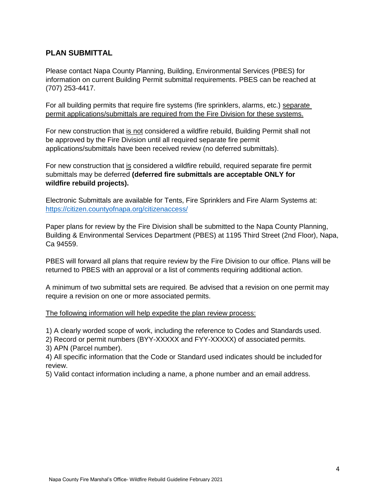# <span id="page-3-0"></span>**PLAN SUBMITTAL**

Please contact Napa County Planning, Building, Environmental Services (PBES) for information on current Building Permit submittal requirements. PBES can be reached at (707) 253-4417.

For all building permits that require fire systems (fire sprinklers, alarms, etc.) separate permit applications/submittals are required from the Fire Division for these systems.

For new construction that is not considered a wildfire rebuild, Building Permit shall not be approved by the Fire Division until all required separate fire permit applications/submittals have been received review (no deferred submittals).

For new construction that is considered a wildfire rebuild, required separate fire permit submittals may be deferred **(deferred fire submittals are acceptable ONLY for wildfire rebuild projects).**

Electronic Submittals are available for Tents, Fire Sprinklers and Fire Alarm Systems at: <https://citizen.countyofnapa.org/citizenaccess/>

Paper plans for review by the Fire Division shall be submitted to the Napa County Planning, Building & Environmental Services Department (PBES) at 1195 Third Street (2nd Floor), Napa, Ca 94559.

PBES will forward all plans that require review by the Fire Division to our office. Plans will be returned to PBES with an approval or a list of comments requiring additional action.

A minimum of two submittal sets are required. Be advised that a revision on one permit may require a revision on one or more associated permits.

The following information will help expedite the plan review process:

1) A clearly worded scope of work, including the reference to Codes and Standards used.

2) Record or permit numbers (BYY-XXXXX and FYY-XXXXX) of associated permits.

3) APN (Parcel number).

4) All specific information that the Code or Standard used indicates should be included for review.

5) Valid contact information including a name, a phone number and an email address.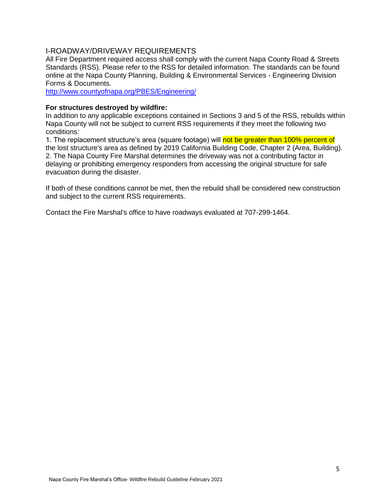### <span id="page-4-0"></span>I-ROADWAY/DRIVEWAY REQUIREMENTS

All Fire Department required access shall comply with the current Napa County Road & Streets Standards (RSS). Please refer to the RSS for detailed information. The standards can be found online at the Napa County Planning, Building & Environmental Services - Engineering Division Forms & Documents.

<http://www.countyofnapa.org/PBES/Engineering/>

#### **For structures destroyed by wildfire:**

In addition to any applicable exceptions contained in Sections 3 and 5 of the RSS, rebuilds within Napa County will not be subject to current RSS requirements if they meet the following two conditions:

1. The replacement structure's area (square footage) will not be greater than 100% percent of the lost structure's area as defined by 2019 California Building Code, Chapter 2 (Area, Building). 2. The Napa County Fire Marshal determines the driveway was not a contributing factor in delaying or prohibiting emergency responders from accessing the original structure for safe evacuation during the disaster.

If both of these conditions cannot be met, then the rebuild shall be considered new construction and subject to the current RSS requirements.

Contact the Fire Marshal's office to have roadways evaluated at 707-299-1464.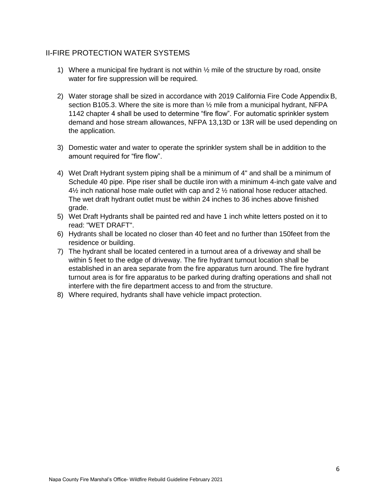# <span id="page-5-0"></span>II-FIRE PROTECTION WATER SYSTEMS

- 1) Where a municipal fire hydrant is not within  $\frac{1}{2}$  mile of the structure by road, onsite water for fire suppression will be required.
- 2) Water storage shall be sized in accordance with 2019 California Fire Code Appendix B, section B105.3. Where the site is more than  $\frac{1}{2}$  mile from a municipal hydrant, NFPA 1142 chapter 4 shall be used to determine "fire flow". For automatic sprinkler system demand and hose stream allowances, NFPA 13,13D or 13R will be used depending on the application.
- 3) Domestic water and water to operate the sprinkler system shall be in addition to the amount required for "fire flow".
- 4) Wet Draft Hydrant system piping shall be a minimum of 4" and shall be a minimum of Schedule 40 pipe. Pipe riser shall be ductile iron with a minimum 4-inch gate valve and  $4\frac{1}{2}$  inch national hose male outlet with cap and 2  $\frac{1}{2}$  national hose reducer attached. The wet draft hydrant outlet must be within 24 inches to 36 inches above finished grade.
- 5) Wet Draft Hydrants shall be painted red and have 1 inch white letters posted on it to read: "WET DRAFT".
- 6) Hydrants shall be located no closer than 40 feet and no further than 150feet from the residence or building.
- 7) The hydrant shall be located centered in a turnout area of a driveway and shall be within 5 feet to the edge of driveway. The fire hydrant turnout location shall be established in an area separate from the fire apparatus turn around. The fire hydrant turnout area is for fire apparatus to be parked during drafting operations and shall not interfere with the fire department access to and from the structure.
- 8) Where required, hydrants shall have vehicle impact protection.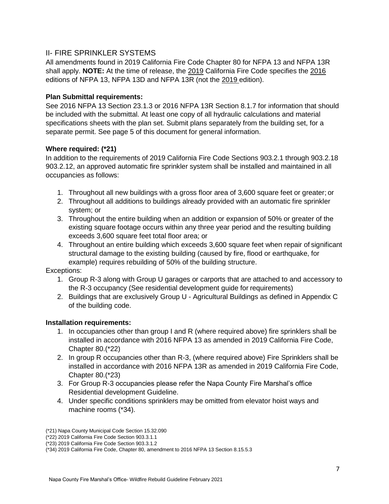# <span id="page-6-0"></span>II- FIRE SPRINKLER SYSTEMS

All amendments found in 2019 California Fire Code Chapter 80 for NFPA 13 and NFPA 13R shall apply. **NOTE:** At the time of release, the 2019 California Fire Code specifies the 2016 editions of NFPA 13, NFPA 13D and NFPA 13R (not the 2019 edition).

# **Plan Submittal requirements:**

See 2016 NFPA 13 Section 23.1.3 or 2016 NFPA 13R Section 8.1.7 for information that should be included with the submittal. At least one copy of all hydraulic calculations and material specifications sheets with the plan set. Submit plans separately from the building set, for a separate permit. See page 5 of this document for general information.

# **Where required: (\*21)**

In addition to the requirements of 2019 California Fire Code Sections 903.2.1 through 903.2.18 903.2.12, an approved automatic fire sprinkler system shall be installed and maintained in all occupancies as follows:

- 1. Throughout all new buildings with a gross floor area of 3,600 square feet or greater; or
- 2. Throughout all additions to buildings already provided with an automatic fire sprinkler system; or
- 3. Throughout the entire building when an addition or expansion of 50% or greater of the existing square footage occurs within any three year period and the resulting building exceeds 3,600 square feet total floor area; or
- 4. Throughout an entire building which exceeds 3,600 square feet when repair of significant structural damage to the existing building (caused by fire, flood or earthquake, for example) requires rebuilding of 50% of the building structure.

Exceptions:

- 1. Group R-3 along with Group U garages or carports that are attached to and accessory to the R-3 occupancy (See residential development guide for requirements)
- 2. Buildings that are exclusively Group U Agricultural Buildings as defined in Appendix C of the building code.

#### **Installation requirements:**

- 1. In occupancies other than group I and R (where required above) fire sprinklers shall be installed in accordance with 2016 NFPA 13 as amended in 2019 California Fire Code, Chapter 80.(\*22)
- 2. In group R occupancies other than R-3, (where required above) Fire Sprinklers shall be installed in accordance with 2016 NFPA 13R as amended in 2019 California Fire Code, Chapter 80.(\*23)
- 3. For Group R-3 occupancies please refer the Napa County Fire Marshal's office Residential development Guideline.
- 4. Under specific conditions sprinklers may be omitted from elevator hoist ways and machine rooms (\*34).

<sup>(\*21)</sup> Napa County Municipal Code Section 15.32.090

<sup>(\*22) 2019</sup> California Fire Code Section 903.3.1.1

<sup>(\*23) 2019</sup> California Fire Code Section 903.3.1.2

<sup>(\*34) 2019</sup> California Fire Code, Chapter 80, amendment to 2016 NFPA 13 Section 8.15.5.3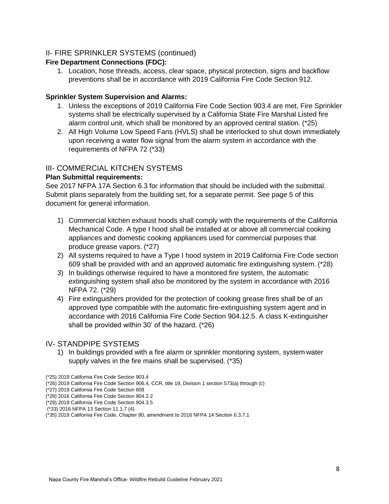# <span id="page-7-0"></span>II- FIRE SPRINKLER SYSTEMS (continued)

#### **Fire Department Connections (FDC):**

1. Location, hose threads, access, clear space, physical protection, signs and backflow preventions shall be in accordance with 2019 California Fire Code Section 912.

#### **Sprinkler System Supervision and Alarms:**

- 1. Unless the exceptions of 2019 California Fire Code Section 903.4 are met, Fire Sprinkler systems shall be electrically supervised by a California State Fire Marshal Listed fire alarm control unit, which shall be monitored by an approved central station. (\*25)
- 2. All High Volume Low Speed Fans (HVLS) shall be interlocked to shut down immediately upon receiving a water flow signal from the alarm system in accordance with the requirements of NFPA 72 (\*33)

#### <span id="page-7-1"></span>III- COMMERCIAL KITCHEN SYSTEMS

#### **Plan Submittal requirements:**

See 2017 NFPA 17A Section 6.3 for information that should be included with the submittal. Submit plans separately from the building set, for a separate permit. See page 5 of this document for general information.

- 1) Commercial kitchen exhaust hoods shall comply with the requirements of the California Mechanical Code. A type I hood shall be installed at or above all commercial cooking appliances and domestic cooking appliances used for commercial purposes that produce grease vapors. (\*27)
- 2) All systems required to have a Type I hood system in 2019 California Fire Code section 609 shall be provided with and an approved automatic fire extinguishing system. (\*28)
- 3) In buildings otherwise required to have a monitored fire system, the automatic extinguishing system shall also be monitored by the system in accordance with 2016 NFPA 72. (\*29)
- 4) Fire extinguishers provided for the protection of cooking grease fires shall be of an approved type compatible with the automatic fire-extinguishing system agent and in accordance with 2016 California Fire Code Section 904.12.5. A class K-extinguisher shall be provided within 30' of the hazard. (\*26)

#### <span id="page-7-2"></span>IV- STANDPIPE SYSTEMS

1) In buildings provided with a fire alarm or sprinkler monitoring system, system water supply valves in the fire mains shall be supervised. (\*35)

(\*25) 2019 California Fire Code Section 903.4

(\*27) 2019 California Fire Code Section 608

- (\*28) 2016 California Fire Code Section 904.2.2
- (\*29) 2019 California Fire Code Section 904.3.5

<sup>(\*26) 2019</sup> California Fire Code Section 906.4, CCR, title 19, Division 1 section 573(a) through (c)

<sup>(\*33) 2016</sup> NFPA 13 Section 11.1.7 (4)

<sup>(\*35) 2019</sup> California Fire Code, Chapter 80, amendment to 2016 NFPA 14 Section 6.3.7.1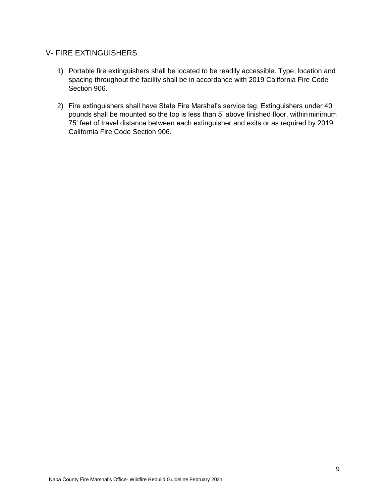# <span id="page-8-0"></span>V- FIRE EXTINGUISHERS

- 1) Portable fire extinguishers shall be located to be readily accessible. Type, location and spacing throughout the facility shall be in accordance with 2019 California Fire Code Section 906.
- 2) Fire extinguishers shall have State Fire Marshal's service tag. Extinguishers under 40 pounds shall be mounted so the top is less than 5' above finished floor, withinminimum 75' feet of travel distance between each extinguisher and exits or as required by 2019 California Fire Code Section 906.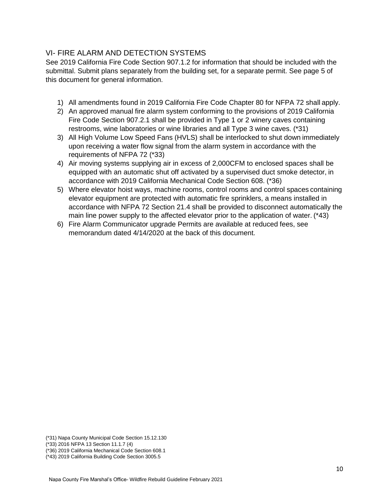# <span id="page-9-0"></span>VI- FIRE ALARM AND DETECTION SYSTEMS

See 2019 California Fire Code Section 907.1.2 for information that should be included with the submittal. Submit plans separately from the building set, for a separate permit. See page 5 of this document for general information.

- 1) All amendments found in 2019 California Fire Code Chapter 80 for NFPA 72 shall apply.
- 2) An approved manual fire alarm system conforming to the provisions of 2019 California Fire Code Section 907.2.1 shall be provided in Type 1 or 2 winery caves containing restrooms, wine laboratories or wine libraries and all Type 3 wine caves. (\*31)
- 3) All High Volume Low Speed Fans (HVLS) shall be interlocked to shut down immediately upon receiving a water flow signal from the alarm system in accordance with the requirements of NFPA 72 (\*33)
- 4) Air moving systems supplying air in excess of 2,000CFM to enclosed spaces shall be equipped with an automatic shut off activated by a supervised duct smoke detector, in accordance with 2019 California Mechanical Code Section 608. (\*36)
- 5) Where elevator hoist ways, machine rooms, control rooms and control spaces containing elevator equipment are protected with automatic fire sprinklers, a means installed in accordance with NFPA 72 Section 21.4 shall be provided to disconnect automatically the main line power supply to the affected elevator prior to the application of water. (\*43)
- 6) Fire Alarm Communicator upgrade Permits are available at reduced fees, see memorandum dated 4/14/2020 at the back of this document.

(\*33) 2016 NFPA 13 Section 11.1.7 (4)

<sup>(\*31)</sup> Napa County Municipal Code Section 15.12.130

<sup>(\*36) 2019</sup> California Mechanical Code Section 608.1

<sup>(\*43) 2019</sup> California Building Code Section 3005.5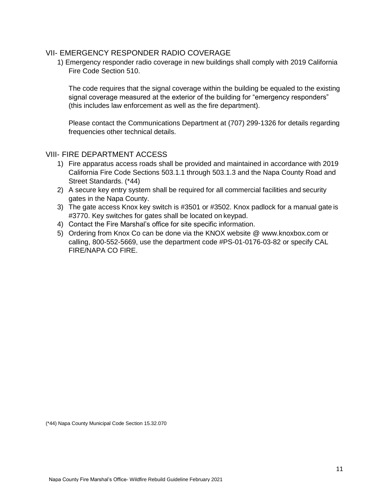#### <span id="page-10-0"></span>VII- EMERGENCY RESPONDER RADIO COVERAGE

1) Emergency responder radio coverage in new buildings shall comply with 2019 California Fire Code Section 510.

The code requires that the signal coverage within the building be equaled to the existing signal coverage measured at the exterior of the building for "emergency responders" (this includes law enforcement as well as the fire department).

Please contact the Communications Department at (707) 299-1326 for details regarding frequencies other technical details.

# <span id="page-10-1"></span>VIII- FIRE DEPARTMENT ACCESS

- 1) Fire apparatus access roads shall be provided and maintained in accordance with 2019 California Fire Code Sections 503.1.1 through 503.1.3 and the Napa County Road and Street Standards. (\*44)
- 2) A secure key entry system shall be required for all commercial facilities and security gates in the Napa County.
- 3) The gate access Knox key switch is #3501 or #3502. Knox padlock for a manual gate is #3770. Key switches for gates shall be located on keypad.
- 4) Contact the Fire Marshal's office for site specific information.
- 5) Ordering from Knox Co can be done via the KNOX website @ [www.knoxbox.com o](http://www.knoxbox.com/)r calling, 800-552-5669, use the department code #PS-01-0176-03-82 or specify CAL FIRE/NAPA CO FIRE.

(\*44) Napa County Municipal Code Section 15.32.070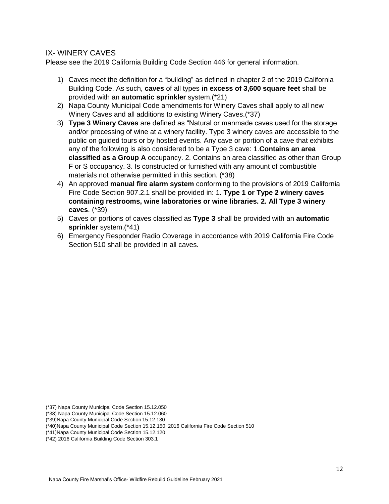# <span id="page-11-0"></span>IX- WINERY CAVES

Please see the 2019 California Building Code Section 446 for general information.

- 1) Caves meet the definition for a "building" as defined in chapter 2 of the 2019 California Building Code. As such, **caves** of all types **in excess of 3,600 square feet** shall be provided with an **automatic sprinkler** system.(\*21)
- 2) Napa County Municipal Code amendments for Winery Caves shall apply to all new Winery Caves and all additions to existing Winery Caves.(\*37)
- 3) **Type 3 Winery Caves** are defined as "Natural or manmade caves used for the storage and/or processing of wine at a winery facility. Type 3 winery caves are accessible to the public on guided tours or by hosted events. Any cave or portion of a cave that exhibits any of the following is also considered to be a Type 3 cave: 1.**Contains an area classified as a Group A** occupancy. 2. Contains an area classified as other than Group F or S occupancy. 3. Is constructed or furnished with any amount of combustible materials not otherwise permitted in this section. (\*38)
- 4) An approved **manual fire alarm system** conforming to the provisions of 2019 California Fire Code Section 907.2.1 shall be provided in: 1. **Type 1 or Type 2 winery caves containing restrooms, wine laboratories or wine libraries. 2. All Type 3 winery caves**. (\*39)
- 5) Caves or portions of caves classified as **Type 3** shall be provided with an **automatic sprinkler** system.(\*41)
- 6) Emergency Responder Radio Coverage in accordance with 2019 California Fire Code Section 510 shall be provided in all caves.

<sup>(\*37)</sup> Napa County Municipal Code Section 15.12.050

<sup>(\*38)</sup> Napa County Municipal Code Section 15.12.060

<sup>(\*39)</sup>Napa County Municipal Code Section 15.12.130

<sup>(\*40)</sup>Napa County Municipal Code Section 15.12.150, 2016 California Fire Code Section 510

<sup>(\*41)</sup>Napa County Municipal Code Section 15.12.120

<sup>(\*42) 2016</sup> California Building Code Section 303.1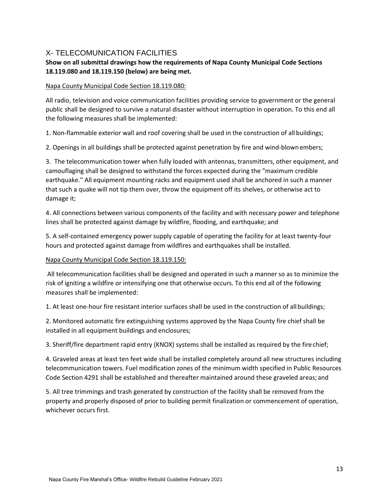# <span id="page-12-0"></span>X- TELECOMUNICATION FACILITIES

# **Show on all submittal drawings how the requirements of Napa County Municipal Code Sections 18.119.080 and 18.119.150 (below) are being met.**

#### Napa County Municipal Code Section 18.119.080:

All radio, television and voice communication facilities providing service to government or the general public shall be designed to survive a natural disaster without interruption in operation. To this end all the following measures shall be implemented:

1. Non-flammable exterior wall and roof covering shall be used in the construction of all buildings;

2. Openings in all buildings shall be protected against penetration by fire and wind-blownembers;

3. The telecommunication tower when fully loaded with antennas, transmitters, other equipment, and camouflaging shall be designed to withstand the forces expected during the "maximum credible earthquake." All equipment mounting racks and equipment used shall be anchored in such a manner that such a quake will not tip them over, throw the equipment off its shelves, or otherwise act to damage it;

4. All connections between various components of the facility and with necessary power and telephone lines shall be protected against damage by wildfire, flooding, and earthquake; and

5. A self-contained emergency power supply capable of operating the facility for at least twenty-four hours and protected against damage from wildfires and earthquakes shall be installed.

#### Napa County Municipal Code Section 18.119.150:

All telecommunication facilities shall be designed and operated in such a manner so as to minimize the risk of igniting a wildfire or intensifying one that otherwise occurs. To this end all of the following measures shall be implemented:

1. At least one-hour fire resistant interior surfaces shall be used in the construction of all buildings;

2. Monitored automatic fire extinguishing systems approved by the Napa County fire chief shall be installed in all equipment buildings and enclosures;

3. Sheriff/fire department rapid entry (KNOX) systems shall be installed as required by the firechief;

4. Graveled areas at least ten feet wide shall be installed completely around all new structures including telecommunication towers. Fuel modification zones of the minimum width specified in Public Resources Code Section 4291 shall be established and thereafter maintained around these graveled areas; and

5. All tree trimmings and trash generated by construction of the facility shall be removed from the property and properly disposed of prior to building permit finalization or commencement of operation, whichever occurs first.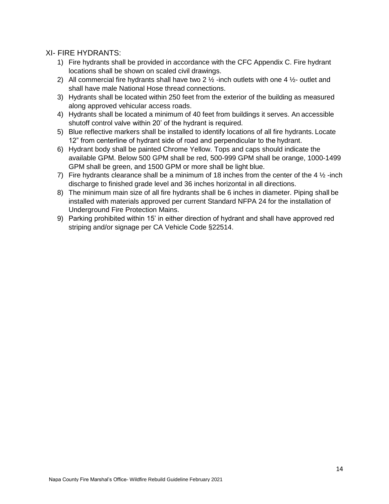# <span id="page-13-0"></span>XI- FIRE HYDRANTS:

- 1) Fire hydrants shall be provided in accordance with the CFC Appendix C. Fire hydrant locations shall be shown on scaled civil drawings.
- 2) All commercial fire hydrants shall have two 2  $\frac{1}{2}$  -inch outlets with one 4  $\frac{1}{2}$  outlet and shall have male National Hose thread connections.
- 3) Hydrants shall be located within 250 feet from the exterior of the building as measured along approved vehicular access roads.
- 4) Hydrants shall be located a minimum of 40 feet from buildings it serves. An accessible shutoff control valve within 20' of the hydrant is required.
- 5) Blue reflective markers shall be installed to identify locations of all fire hydrants. Locate 12" from centerline of hydrant side of road and perpendicular to the hydrant.
- 6) Hydrant body shall be painted Chrome Yellow. Tops and caps should indicate the available GPM. Below 500 GPM shall be red, 500-999 GPM shall be orange, 1000-1499 GPM shall be green, and 1500 GPM or more shall be light blue.
- 7) Fire hydrants clearance shall be a minimum of 18 inches from the center of the 4  $\frac{1}{2}$ -inch discharge to finished grade level and 36 inches horizontal in all directions.
- 8) The minimum main size of all fire hydrants shall be 6 inches in diameter. Piping shall be installed with materials approved per current Standard NFPA 24 for the installation of Underground Fire Protection Mains.
- 9) Parking prohibited within 15' in either direction of hydrant and shall have approved red striping and/or signage per CA Vehicle Code §22514.